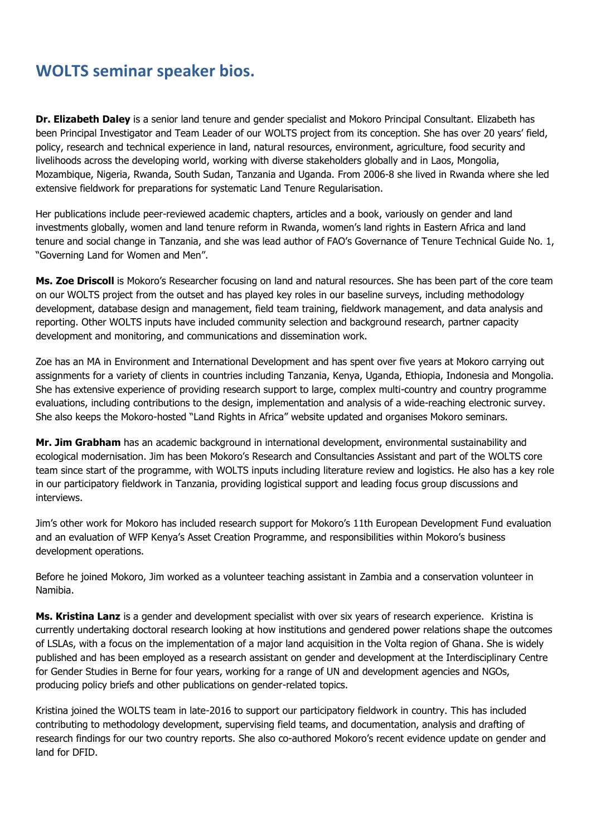## **WOLTS seminar speaker bios.**

**Dr. Elizabeth Daley** is a senior land tenure and gender specialist and Mokoro Principal Consultant. Elizabeth has been Principal Investigator and Team Leader of our WOLTS project from its conception. She has over 20 years' field, policy, research and technical experience in land, natural resources, environment, agriculture, food security and livelihoods across the developing world, working with diverse stakeholders globally and in Laos, Mongolia, Mozambique, Nigeria, Rwanda, South Sudan, Tanzania and Uganda. From 2006-8 she lived in Rwanda where she led extensive fieldwork for preparations for systematic Land Tenure Regularisation.

Her publications include peer-reviewed academic chapters, articles and a book, variously on gender and land investments globally, women and land tenure reform in Rwanda, women's land rights in Eastern Africa and land tenure and social change in Tanzania, and she was lead author of FAO's Governance of Tenure Technical Guide No. 1, "[Governing Land for Women and Men](http://mokoro.co.uk/wp-content/uploads/i3114e1.pdf)".

**Ms. Zoe Driscoll** is Mokoro's Researcher focusing on land and natural resources. She has been part of the core team on our WOLTS project from the outset and has played key roles in our baseline surveys, including methodology development, database design and management, field team training, fieldwork management, and data analysis and reporting. Other WOLTS inputs have included community selection and background research, partner capacity development and monitoring, and communications and dissemination work.

Zoe has an MA in Environment and International Development and has spent over five years at Mokoro carrying out assignments for a variety of clients in countries including Tanzania, Kenya, Uganda, Ethiopia, Indonesia and Mongolia. She has extensive experience of providing research support to large, complex multi-country and country programme evaluations, including contributions to the design, implementation and analysis of a wide-reaching electronic survey. She also keeps the Mokoro-hosted "Land Rights in Africa" website updated and organises Mokoro seminars.

**Mr. Jim Grabham** has an academic background in international development, environmental sustainability and ecological modernisation. Jim has been Mokoro's Research and Consultancies Assistant and part of the WOLTS core team since start of the programme, with WOLTS inputs including literature review and logistics. He also has a key role in our participatory fieldwork in Tanzania, providing logistical support and leading focus group discussions and interviews.

Jim's other work for Mokoro has included research support for Mokoro's 11th European Development Fund evaluation and an evaluation of WFP Kenya's Asset Creation Programme, and responsibilities within Mokoro's business development operations.

Before he joined Mokoro, Jim worked as a volunteer teaching assistant in Zambia and a conservation volunteer in Namibia.

**Ms. Kristina Lanz** is a gender and development specialist with over six years of research experience. Kristina is currently undertaking doctoral research looking at how institutions and gendered power relations shape the outcomes of LSLAs, with a focus on the implementation of a major land acquisition in the Volta region of Ghana. She is widely published and has been employed as a research assistant on gender and development at the Interdisciplinary Centre for Gender Studies in Berne for four years, working for a range of UN and development agencies and NGOs, producing policy briefs and other publications on gender-related topics.

Kristina joined the WOLTS team in late-2016 to support our participatory fieldwork in country. This has included contributing to methodology development, supervising field teams, and documentation, analysis and drafting of research findings for our two country reports. She also co-authored Mokoro's recent [evidence update on gender and](http://mokoro.co.uk/wp-content/uploads/ADP-LEGEND-Evidence-update-2-v9.pdf)  [land](http://mokoro.co.uk/wp-content/uploads/ADP-LEGEND-Evidence-update-2-v9.pdf) for DFID.